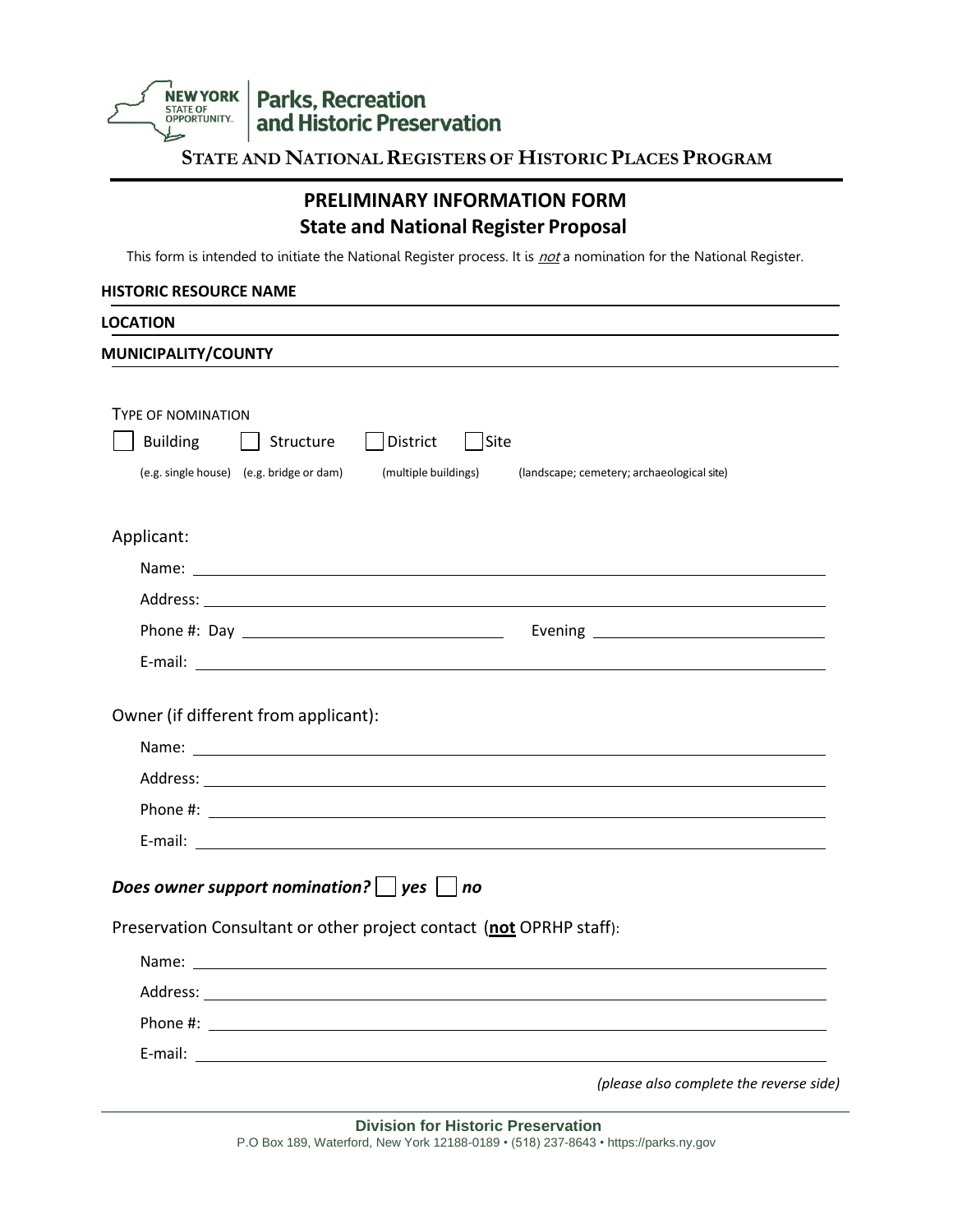Parks, Recreation<br>and Historic Preservation NEW YORK

**STATE AND NATIONALREGISTERS OF HISTORIC PLACES PROGRAM**

## **PRELIMINARY INFORMATION FORM State and National Register Proposal**

This form is intended to initiate the National Register process. It is not a nomination for the National Register.

#### **HISTORIC RESOURCE NAME**

| <b>LOCATION</b>                                       |                                                                                                                                                                                                                                |
|-------------------------------------------------------|--------------------------------------------------------------------------------------------------------------------------------------------------------------------------------------------------------------------------------|
| MUNICIPALITY/COUNTY                                   |                                                                                                                                                                                                                                |
|                                                       |                                                                                                                                                                                                                                |
| <b>TYPE OF NOMINATION</b>                             |                                                                                                                                                                                                                                |
| Building   Structure                                  | District<br>$\vert$ Site                                                                                                                                                                                                       |
| (e.g. single house) (e.g. bridge or dam)              | (multiple buildings)<br>(landscape; cemetery; archaeological site)                                                                                                                                                             |
| Applicant:                                            |                                                                                                                                                                                                                                |
|                                                       |                                                                                                                                                                                                                                |
|                                                       |                                                                                                                                                                                                                                |
|                                                       |                                                                                                                                                                                                                                |
|                                                       |                                                                                                                                                                                                                                |
| Owner (if different from applicant):                  | Address: Analysis and the contract of the contract of the contract of the contract of the contract of the contract of the contract of the contract of the contract of the contract of the contract of the contract of the cont |
|                                                       |                                                                                                                                                                                                                                |
|                                                       |                                                                                                                                                                                                                                |
| Does owner support nomination? $\vert$ yes $\vert$ no |                                                                                                                                                                                                                                |
|                                                       | Preservation Consultant or other project contact (not OPRHP staff):                                                                                                                                                            |
|                                                       |                                                                                                                                                                                                                                |
|                                                       |                                                                                                                                                                                                                                |
|                                                       |                                                                                                                                                                                                                                |
|                                                       |                                                                                                                                                                                                                                |
|                                                       | (please also complete the reverse side)                                                                                                                                                                                        |

**Division for Historic Preservation** P.O Box 189, Waterford, New York 12188-0189 • (518) 237-8643 • https://parks.ny.gov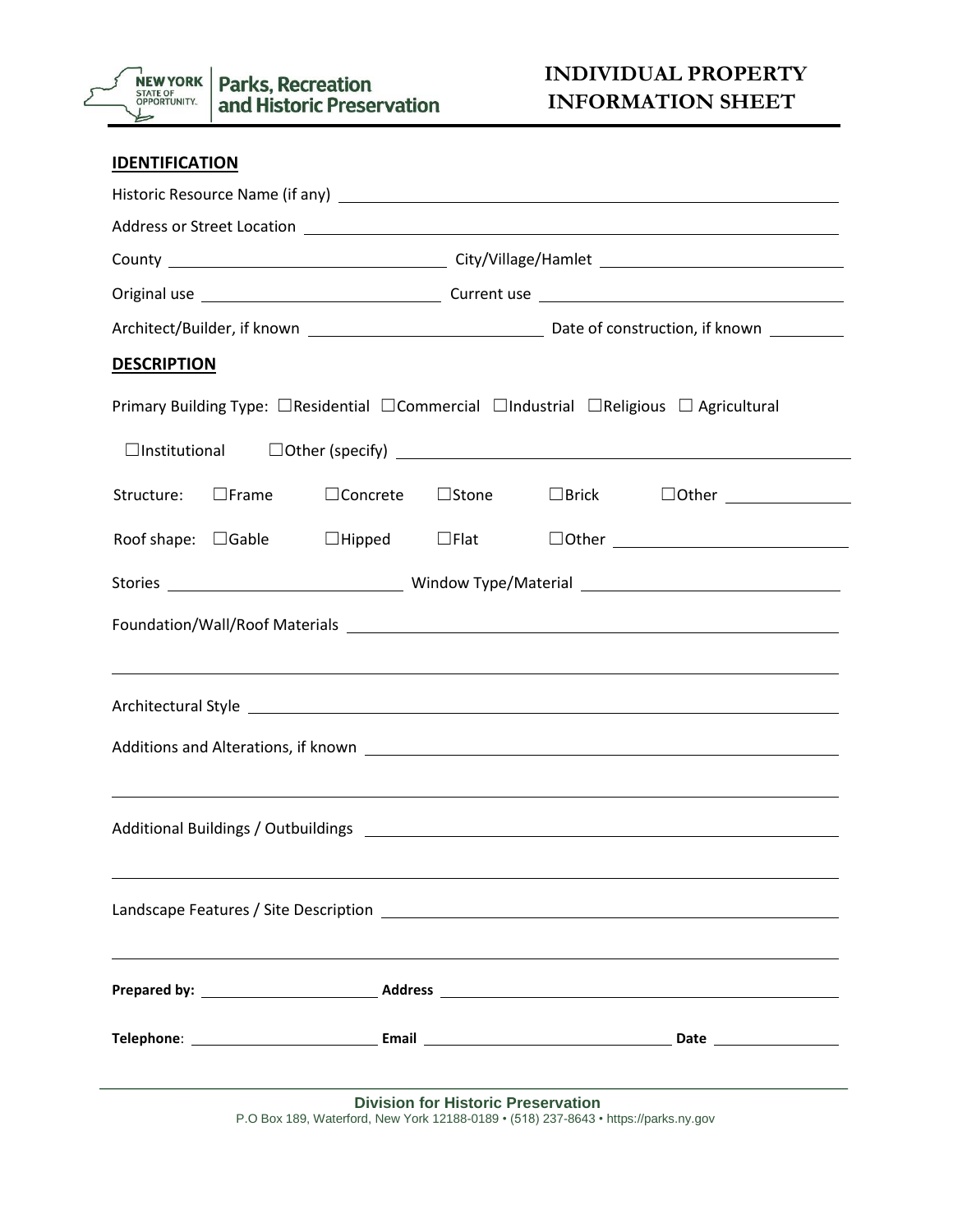

| <b>IDENTIFICATION</b>                                                                                                               |  |  |  |  |
|-------------------------------------------------------------------------------------------------------------------------------------|--|--|--|--|
|                                                                                                                                     |  |  |  |  |
|                                                                                                                                     |  |  |  |  |
|                                                                                                                                     |  |  |  |  |
|                                                                                                                                     |  |  |  |  |
|                                                                                                                                     |  |  |  |  |
| <b>DESCRIPTION</b>                                                                                                                  |  |  |  |  |
| Primary Building Type: □ Residential □ Commercial □ Industrial □ Religious □ Agricultural                                           |  |  |  |  |
| $\Box$ Institutional $\Box$ Other (specify) $\Box$                                                                                  |  |  |  |  |
| $\square$ Frame<br>$\Box$ Brick $\Box$ Other $\_\_\_\_\_\_\_\_\_\_\_\_\_\_\_\_$<br>Structure:<br>$\Box$ Concrete<br>$\square$ Stone |  |  |  |  |
| $\square$ Hipped $\square$ Flat $\square$ Other $\_\_$<br>Roof shape: $\Box$ Gable                                                  |  |  |  |  |
|                                                                                                                                     |  |  |  |  |
|                                                                                                                                     |  |  |  |  |
| ,我们也不会有什么。""我们的人,我们也不会有什么?""我们的人,我们也不会有什么?""我们的人,我们也不会有什么?""我们的人,我们也不会有什么?""我们的人                                                    |  |  |  |  |
| Additions and Alterations, if known<br>,我们也不会有什么。""我们的人,我们也不会有什么?""我们的人,我们也不会有什么?""我们的人,我们也不会有什么?""我们的人,我们也不会有什么?""我们的人             |  |  |  |  |
|                                                                                                                                     |  |  |  |  |
|                                                                                                                                     |  |  |  |  |
|                                                                                                                                     |  |  |  |  |
|                                                                                                                                     |  |  |  |  |

**Division for Historic Preservation** P.O Box 189, Waterford, New York 12188-0189 • (518) 237-8643 • https://parks.ny.gov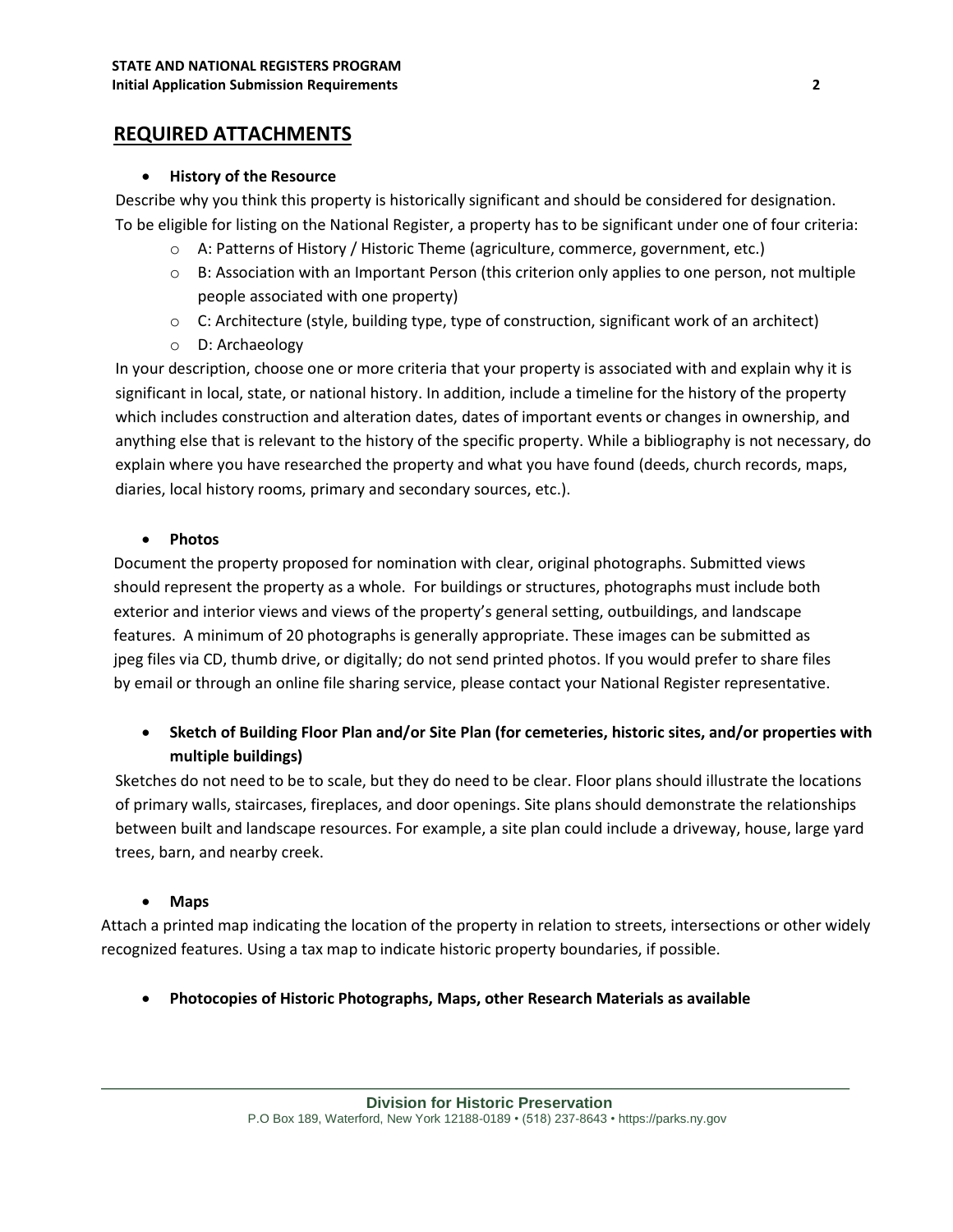## **REQUIRED ATTACHMENTS**

#### • **History of the Resource**

Describe why you think this property is historically significant and should be considered for designation. To be eligible for listing on the National Register, a property has to be significant under one of four criteria:

- o A: Patterns of History / Historic Theme (agriculture, commerce, government, etc.)
- o B: Association with an Important Person (this criterion only applies to one person, not multiple people associated with one property)
- o C: Architecture (style, building type, type of construction, significant work of an architect)
- o D: Archaeology

In your description, choose one or more criteria that your property is associated with and explain why it is significant in local, state, or national history. In addition, include a timeline for the history of the property which includes construction and alteration dates, dates of important events or changes in ownership, and anything else that is relevant to the history of the specific property. While a bibliography is not necessary, do explain where you have researched the property and what you have found (deeds, church records, maps, diaries, local history rooms, primary and secondary sources, etc.).

### • **Photos**

Document the property proposed for nomination with clear, original photographs. Submitted views should represent the property as a whole. For buildings or structures, photographs must include both exterior and interior views and views of the property's general setting, outbuildings, and landscape features. A minimum of 20 photographs is generally appropriate. These images can be submitted as jpeg files via CD, thumb drive, or digitally; do not send printed photos. If you would prefer to share files by email or through an online file sharing service, please contact your National Register representative.

### • **Sketch of Building Floor Plan and/or Site Plan (for cemeteries, historic sites, and/or properties with multiple buildings)**

Sketches do not need to be to scale, but they do need to be clear. Floor plans should illustrate the locations of primary walls, staircases, fireplaces, and door openings. Site plans should demonstrate the relationships between built and landscape resources. For example, a site plan could include a driveway, house, large yard trees, barn, and nearby creek.

### • **Maps**

Attach a printed map indicating the location of the property in relation to streets, intersections or other widely recognized features. Using a tax map to indicate historic property boundaries, if possible.

• **Photocopies of Historic Photographs, Maps, other Research Materials as available**